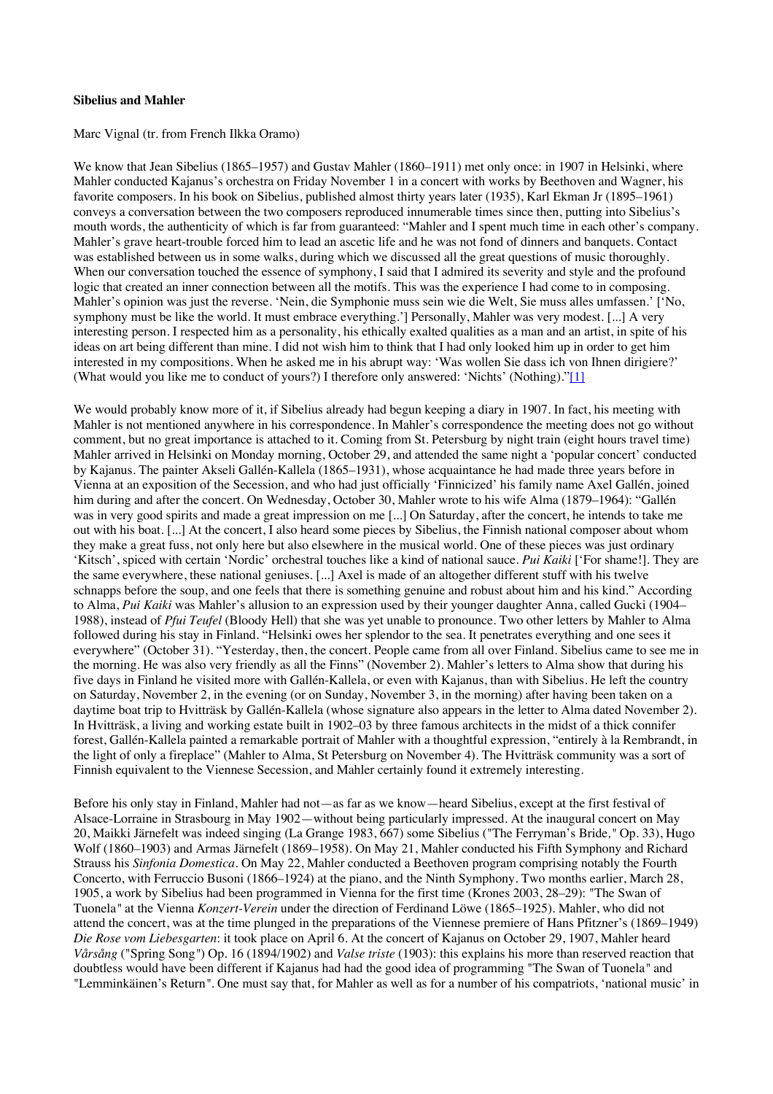## **Sibelius and Mahler**

Marc Vignal (tr. from French Ilkka Oramo)

We know that Jean Sibelius (1865–1957) and Gustav Mahler (1860–1911) met only once: in 1907 in Helsinki, where Mahler conducted Kajanus's orchestra on Friday November 1 in a concert with works by Beethoven and Wagner, his favorite composers. In his book on Sibelius, published almost thirty years later (1935), Karl Ekman Jr (1895–1961) conveys a conversation between the two composers reproduced innumerable times since then, putting into Sibelius's mouth words, the authenticity of which is far from guaranteed: "Mahler and I spent much time in each other's company. Mahler's grave heart-trouble forced him to lead an ascetic life and he was not fond of dinners and banquets. Contact was established between us in some walks, during which we discussed all the great questions of music thoroughly. When our conversation touched the essence of symphony, I said that I admired its severity and style and the profound logic that created an inner connection between all the motifs. This was the experience I had come to in composing. Mahler's opinion was just the reverse. 'Nein, die Symphonie muss sein wie die Welt, Sie muss alles umfassen.' ['No, symphony must be like the world. It must embrace everything.'] Personally, Mahler was very modest. [...] A very interesting person. I respected him as a personality, his ethically exalted qualities as a man and an artist, in spite of his ideas on art being different than mine. I did not wish him to think that I had only looked him up in order to get him interested in my compositions. When he asked me in his abrupt way: 'Was wollen Sie dass ich von Ihnen dirigiere?' (What would you like me to conduct of yours?) I therefore only answered: 'Nichts' (Nothing)."[1]

We would probably know more of it, if Sibelius already had begun keeping a diary in 1907. In fact, his meeting with Mahler is not mentioned anywhere in his correspondence. In Mahler's correspondence the meeting does not go without comment, but no great importance is attached to it. Coming from St. Petersburg by night train (eight hours travel time) Mahler arrived in Helsinki on Monday morning, October 29, and attended the same night a 'popular concert' conducted by Kajanus. The painter Akseli Gallén-Kallela (1865–1931), whose acquaintance he had made three years before in Vienna at an exposition of the Secession, and who had just officially 'Finnicized' his family name Axel Gallén, joined him during and after the concert. On Wednesday, October 30, Mahler wrote to his wife Alma (1879–1964): "Gallén was in very good spirits and made a great impression on me [...] On Saturday, after the concert, he intends to take me out with his boat. [...] At the concert, I also heard some pieces by Sibelius, the Finnish national composer about whom they make a great fuss, not only here but also elsewhere in the musical world. One of these pieces was just ordinary 'Kitsch', spiced with certain 'Nordic' orchestral touches like a kind of national sauce. *Pui Kaiki* ['For shame!]. They are the same everywhere, these national geniuses. [...] Axel is made of an altogether different stuff with his twelve schnapps before the soup, and one feels that there is something genuine and robust about him and his kind." According to Alma, *Pui Kaiki* was Mahler's allusion to an expression used by their younger daughter Anna, called Gucki (1904– 1988), instead of *Pfui Teufel* (Bloody Hell) that she was yet unable to pronounce. Two other letters by Mahler to Alma followed during his stay in Finland. "Helsinki owes her splendor to the sea. It penetrates everything and one sees it everywhere" (October 31). "Yesterday, then, the concert. People came from all over Finland. Sibelius came to see me in the morning. He was also very friendly as all the Finns" (November 2). Mahler's letters to Alma show that during his five days in Finland he visited more with Gallén-Kallela, or even with Kajanus, than with Sibelius. He left the country on Saturday, November 2, in the evening (or on Sunday, November 3, in the morning) after having been taken on a daytime boat trip to Hvitträsk by Gallén-Kallela (whose signature also appears in the letter to Alma dated November 2). In Hvitträsk, a living and working estate built in 1902–03 by three famous architects in the midst of a thick connifer forest, Gallén-Kallela painted a remarkable portrait of Mahler with a thoughtful expression, "entirely à la Rembrandt, in the light of only a fireplace" (Mahler to Alma, St Petersburg on November 4). The Hvitträsk community was a sort of Finnish equivalent to the Viennese Secession, and Mahler certainly found it extremely interesting.

Before his only stay in Finland, Mahler had not—as far as we know—heard Sibelius, except at the first festival of Alsace-Lorraine in Strasbourg in May 1902—without being particularly impressed. At the inaugural concert on May 20, Maikki Järnefelt was indeed singing (La Grange 1983, 667) some Sibelius ("The Ferryman's Bride*,"* Op. 33), Hugo Wolf (1860–1903) and Armas Järnefelt (1869–1958). On May 21, Mahler conducted his Fifth Symphony and Richard Strauss his *Sinfonia Domestica*. On May 22, Mahler conducted a Beethoven program comprising notably the Fourth Concerto, with Ferruccio Busoni (1866–1924) at the piano, and the Ninth Symphony. Two months earlier, March 28, 1905, a work by Sibelius had been programmed in Vienna for the first time (Krones 2003, 28–29): "The Swan of Tuonela*"* at the Vienna *Konzert-Verein* under the direction of Ferdinand Löwe (1865–1925). Mahler, who did not attend the concert, was at the time plunged in the preparations of the Viennese premiere of Hans Pfitzner's (1869–1949) *Die Rose vom Liebesgarten*: it took place on April 6. At the concert of Kajanus on October 29, 1907, Mahler heard *Vårsång* ("Spring Song*"*) Op. 16 (1894/1902) and *Valse triste* (1903): this explains his more than reserved reaction that doubtless would have been different if Kajanus had had the good idea of programming "The Swan of Tuonela*"* and "Lemminkäinen's Return*"*. One must say that, for Mahler as well as for a number of his compatriots, 'national music' in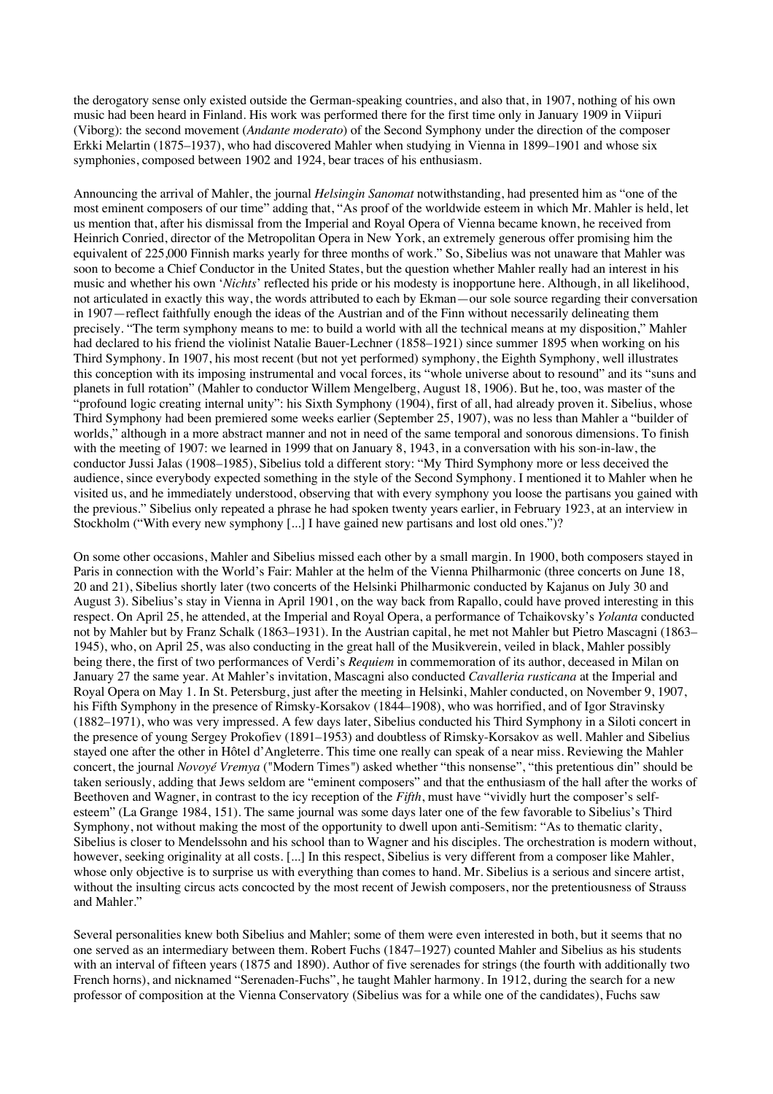the derogatory sense only existed outside the German-speaking countries, and also that, in 1907, nothing of his own music had been heard in Finland. His work was performed there for the first time only in January 1909 in Viipuri (Viborg): the second movement (*Andante moderato*) of the Second Symphony under the direction of the composer Erkki Melartin (1875–1937), who had discovered Mahler when studying in Vienna in 1899–1901 and whose six symphonies, composed between 1902 and 1924, bear traces of his enthusiasm.

Announcing the arrival of Mahler, the journal *Helsingin Sanomat* notwithstanding, had presented him as "one of the most eminent composers of our time" adding that, "As proof of the worldwide esteem in which Mr. Mahler is held, let us mention that, after his dismissal from the Imperial and Royal Opera of Vienna became known, he received from Heinrich Conried, director of the Metropolitan Opera in New York, an extremely generous offer promising him the equivalent of 225,000 Finnish marks yearly for three months of work." So, Sibelius was not unaware that Mahler was soon to become a Chief Conductor in the United States, but the question whether Mahler really had an interest in his music and whether his own '*Nichts*' reflected his pride or his modesty is inopportune here. Although, in all likelihood, not articulated in exactly this way, the words attributed to each by Ekman—our sole source regarding their conversation in 1907—reflect faithfully enough the ideas of the Austrian and of the Finn without necessarily delineating them precisely. "The term symphony means to me: to build a world with all the technical means at my disposition," Mahler had declared to his friend the violinist Natalie Bauer-Lechner (1858–1921) since summer 1895 when working on his Third Symphony. In 1907, his most recent (but not yet performed) symphony, the Eighth Symphony, well illustrates this conception with its imposing instrumental and vocal forces, its "whole universe about to resound" and its "suns and planets in full rotation" (Mahler to conductor Willem Mengelberg, August 18, 1906). But he, too, was master of the "profound logic creating internal unity": his Sixth Symphony (1904), first of all, had already proven it. Sibelius, whose Third Symphony had been premiered some weeks earlier (September 25, 1907), was no less than Mahler a "builder of worlds," although in a more abstract manner and not in need of the same temporal and sonorous dimensions. To finish with the meeting of 1907: we learned in 1999 that on January 8, 1943, in a conversation with his son-in-law, the conductor Jussi Jalas (1908–1985), Sibelius told a different story: "My Third Symphony more or less deceived the audience, since everybody expected something in the style of the Second Symphony. I mentioned it to Mahler when he visited us, and he immediately understood, observing that with every symphony you loose the partisans you gained with the previous." Sibelius only repeated a phrase he had spoken twenty years earlier, in February 1923, at an interview in Stockholm ("With every new symphony [...] I have gained new partisans and lost old ones.")?

On some other occasions, Mahler and Sibelius missed each other by a small margin. In 1900, both composers stayed in Paris in connection with the World's Fair: Mahler at the helm of the Vienna Philharmonic (three concerts on June 18, 20 and 21), Sibelius shortly later (two concerts of the Helsinki Philharmonic conducted by Kajanus on July 30 and August 3). Sibelius's stay in Vienna in April 1901, on the way back from Rapallo, could have proved interesting in this respect. On April 25, he attended, at the Imperial and Royal Opera, a performance of Tchaikovsky's *Yolanta* conducted not by Mahler but by Franz Schalk (1863–1931). In the Austrian capital, he met not Mahler but Pietro Mascagni (1863– 1945), who, on April 25, was also conducting in the great hall of the Musikverein, veiled in black, Mahler possibly being there, the first of two performances of Verdi's *Requiem* in commemoration of its author, deceased in Milan on January 27 the same year. At Mahler's invitation, Mascagni also conducted *Cavalleria rusticana* at the Imperial and Royal Opera on May 1. In St. Petersburg, just after the meeting in Helsinki, Mahler conducted, on November 9, 1907, his Fifth Symphony in the presence of Rimsky-Korsakov (1844–1908), who was horrified, and of Igor Stravinsky (1882–1971), who was very impressed. A few days later, Sibelius conducted his Third Symphony in a Siloti concert in the presence of young Sergey Prokofiev (1891–1953) and doubtless of Rimsky-Korsakov as well. Mahler and Sibelius stayed one after the other in Hôtel d'Angleterre. This time one really can speak of a near miss. Reviewing the Mahler concert, the journal *Novoyé Vremya* ("Modern Times*"*) asked whether "this nonsense", "this pretentious din" should be taken seriously, adding that Jews seldom are "eminent composers" and that the enthusiasm of the hall after the works of Beethoven and Wagner, in contrast to the icy reception of the *Fifth*, must have "vividly hurt the composer's selfesteem" (La Grange 1984, 151). The same journal was some days later one of the few favorable to Sibelius's Third Symphony, not without making the most of the opportunity to dwell upon anti-Semitism: "As to thematic clarity, Sibelius is closer to Mendelssohn and his school than to Wagner and his disciples. The orchestration is modern without, however, seeking originality at all costs. [...] In this respect, Sibelius is very different from a composer like Mahler, whose only objective is to surprise us with everything than comes to hand. Mr. Sibelius is a serious and sincere artist, without the insulting circus acts concocted by the most recent of Jewish composers, nor the pretentiousness of Strauss and Mahler."

Several personalities knew both Sibelius and Mahler; some of them were even interested in both, but it seems that no one served as an intermediary between them. Robert Fuchs (1847–1927) counted Mahler and Sibelius as his students with an interval of fifteen years (1875 and 1890). Author of five serenades for strings (the fourth with additionally two French horns), and nicknamed "Serenaden-Fuchs", he taught Mahler harmony. In 1912, during the search for a new professor of composition at the Vienna Conservatory (Sibelius was for a while one of the candidates), Fuchs saw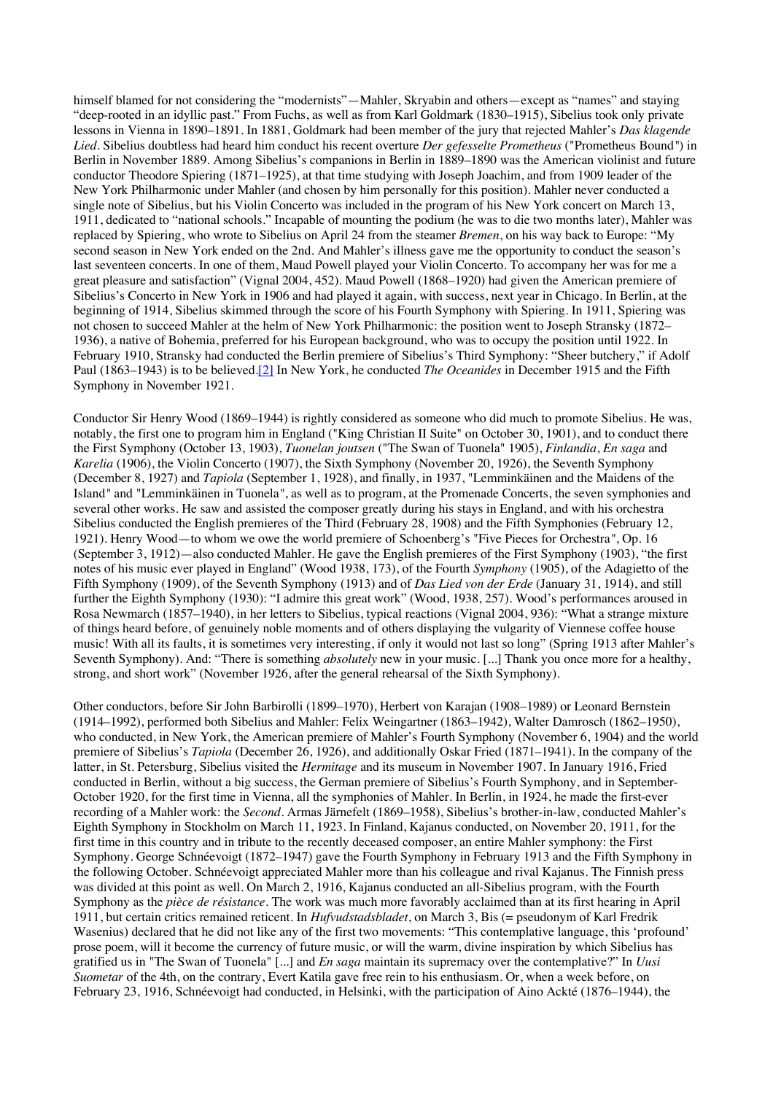himself blamed for not considering the "modernists"—Mahler, Skryabin and others—except as "names" and staying "deep-rooted in an idyllic past." From Fuchs, as well as from Karl Goldmark (1830–1915), Sibelius took only private lessons in Vienna in 1890–1891. In 1881, Goldmark had been member of the jury that rejected Mahler's *Das klagende Lied*. Sibelius doubtless had heard him conduct his recent overture *Der gefesselte Prometheus* ("Prometheus Bound*"*) in Berlin in November 1889. Among Sibelius's companions in Berlin in 1889–1890 was the American violinist and future conductor Theodore Spiering (1871–1925), at that time studying with Joseph Joachim, and from 1909 leader of the New York Philharmonic under Mahler (and chosen by him personally for this position). Mahler never conducted a single note of Sibelius, but his Violin Concerto was included in the program of his New York concert on March 13, 1911, dedicated to "national schools." Incapable of mounting the podium (he was to die two months later), Mahler was replaced by Spiering, who wrote to Sibelius on April 24 from the steamer *Bremen*, on his way back to Europe: "My second season in New York ended on the 2nd. And Mahler's illness gave me the opportunity to conduct the season's last seventeen concerts. In one of them, Maud Powell played your Violin Concerto. To accompany her was for me a great pleasure and satisfaction" (Vignal 2004, 452). Maud Powell (1868–1920) had given the American premiere of Sibelius's Concerto in New York in 1906 and had played it again, with success, next year in Chicago. In Berlin, at the beginning of 1914, Sibelius skimmed through the score of his Fourth Symphony with Spiering. In 1911, Spiering was not chosen to succeed Mahler at the helm of New York Philharmonic: the position went to Joseph Stransky (1872– 1936), a native of Bohemia, preferred for his European background, who was to occupy the position until 1922. In February 1910, Stransky had conducted the Berlin premiere of Sibelius's Third Symphony: "Sheer butchery," if Adolf Paul (1863–1943) is to be believed.[2] In New York, he conducted *The Oceanides* in December 1915 and the Fifth Symphony in November 1921.

Conductor Sir Henry Wood (1869–1944) is rightly considered as someone who did much to promote Sibelius. He was, notably, the first one to program him in England ("King Christian II Suite" on October 30, 1901), and to conduct there the First Symphony (October 13, 1903), *Tuonelan joutsen* ("The Swan of Tuonela" 1905), *Finlandia*, *En saga* and *Karelia* (1906), the Violin Concerto (1907), the Sixth Symphony (November 20, 1926), the Seventh Symphony (December 8, 1927) and *Tapiola* (September 1, 1928), and finally, in 1937, "Lemminkäinen and the Maidens of the Island*"* and "Lemminkäinen in Tuonela*"*, as well as to program, at the Promenade Concerts, the seven symphonies and several other works. He saw and assisted the composer greatly during his stays in England, and with his orchestra Sibelius conducted the English premieres of the Third (February 28, 1908) and the Fifth Symphonies (February 12, 1921). Henry Wood—to whom we owe the world premiere of Schoenberg's "Five Pieces for Orchestra*"*, Op. 16 (September 3, 1912)—also conducted Mahler. He gave the English premieres of the First Symphony (1903), "the first notes of his music ever played in England" (Wood 1938, 173), of the Fourth *Symphony* (1905), of the Adagietto of the Fifth Symphony (1909), of the Seventh Symphony (1913) and of *Das Lied von der Erde* (January 31, 1914), and still further the Eighth Symphony (1930): "I admire this great work" (Wood, 1938, 257). Wood's performances aroused in Rosa Newmarch (1857–1940), in her letters to Sibelius, typical reactions (Vignal 2004, 936): "What a strange mixture of things heard before, of genuinely noble moments and of others displaying the vulgarity of Viennese coffee house music! With all its faults, it is sometimes very interesting, if only it would not last so long" (Spring 1913 after Mahler's Seventh Symphony). And: "There is something *absolutely* new in your music. [...] Thank you once more for a healthy, strong, and short work" (November 1926, after the general rehearsal of the Sixth Symphony).

Other conductors, before Sir John Barbirolli (1899–1970), Herbert von Karajan (1908–1989) or Leonard Bernstein (1914–1992), performed both Sibelius and Mahler: Felix Weingartner (1863–1942), Walter Damrosch (1862–1950), who conducted, in New York, the American premiere of Mahler's Fourth Symphony (November 6, 1904) and the world premiere of Sibelius's *Tapiola* (December 26, 1926), and additionally Oskar Fried (1871–1941). In the company of the latter, in St. Petersburg, Sibelius visited the *Hermitage* and its museum in November 1907. In January 1916, Fried conducted in Berlin, without a big success, the German premiere of Sibelius's Fourth Symphony, and in September-October 1920, for the first time in Vienna, all the symphonies of Mahler. In Berlin, in 1924, he made the first-ever recording of a Mahler work: the *Second*. Armas Järnefelt (1869–1958), Sibelius's brother-in-law, conducted Mahler's Eighth Symphony in Stockholm on March 11, 1923. In Finland, Kajanus conducted, on November 20, 1911, for the first time in this country and in tribute to the recently deceased composer, an entire Mahler symphony: the First Symphony. George Schnéevoigt (1872–1947) gave the Fourth Symphony in February 1913 and the Fifth Symphony in the following October. Schnéevoigt appreciated Mahler more than his colleague and rival Kajanus. The Finnish press was divided at this point as well. On March 2, 1916, Kajanus conducted an all-Sibelius program, with the Fourth Symphony as the *pièce de résistance*. The work was much more favorably acclaimed than at its first hearing in April 1911, but certain critics remained reticent. In *Hufvudstadsbladet*, on March 3, Bis (= pseudonym of Karl Fredrik Wasenius) declared that he did not like any of the first two movements: "This contemplative language, this 'profound' prose poem, will it become the currency of future music, or will the warm, divine inspiration by which Sibelius has gratified us in "The Swan of Tuonela" [...] and *En saga* maintain its supremacy over the contemplative?" In *Uusi Suometar* of the 4th, on the contrary, Evert Katila gave free rein to his enthusiasm. Or, when a week before, on February 23, 1916, Schnéevoigt had conducted, in Helsinki, with the participation of Aino Ackté (1876–1944), the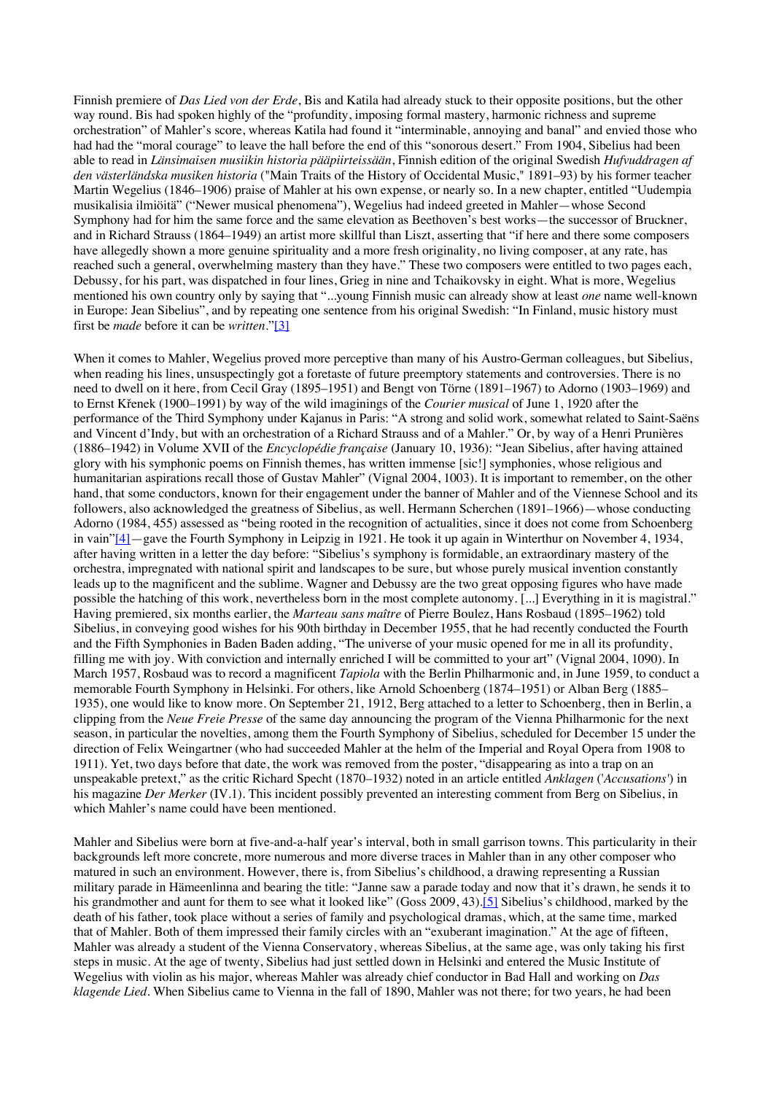Finnish premiere of *Das Lied von der Erde*, Bis and Katila had already stuck to their opposite positions, but the other way round. Bis had spoken highly of the "profundity, imposing formal mastery, harmonic richness and supreme orchestration" of Mahler's score, whereas Katila had found it "interminable, annoying and banal" and envied those who had had the "moral courage" to leave the hall before the end of this "sonorous desert." From 1904, Sibelius had been able to read in *Länsimaisen musiikin historia pääpiirteissään*, Finnish edition of the original Swedish *Hufvuddragen af den västerländska musiken historia* ("Main Traits of the History of Occidental Music," 1891–93) by his former teacher Martin Wegelius (1846–1906) praise of Mahler at his own expense, or nearly so. In a new chapter, entitled "Uudempia musikalisia ilmiöitä" ("Newer musical phenomena"), Wegelius had indeed greeted in Mahler—whose Second Symphony had for him the same force and the same elevation as Beethoven's best works—the successor of Bruckner, and in Richard Strauss (1864–1949) an artist more skillful than Liszt, asserting that "if here and there some composers have allegedly shown a more genuine spirituality and a more fresh originality, no living composer, at any rate, has reached such a general, overwhelming mastery than they have." These two composers were entitled to two pages each, Debussy, for his part, was dispatched in four lines, Grieg in nine and Tchaikovsky in eight. What is more, Wegelius mentioned his own country only by saying that "...young Finnish music can already show at least *one* name well-known in Europe: Jean Sibelius", and by repeating one sentence from his original Swedish: "In Finland, music history must first be *made* before it can be *written*."[3]

When it comes to Mahler, Wegelius proved more perceptive than many of his Austro-German colleagues, but Sibelius, when reading his lines, unsuspectingly got a foretaste of future preemptory statements and controversies. There is no need to dwell on it here, from Cecil Gray (1895–1951) and Bengt von Törne (1891–1967) to Adorno (1903–1969) and to Ernst Křenek (1900–1991) by way of the wild imaginings of the *Courier musical* of June 1, 1920 after the performance of the Third Symphony under Kajanus in Paris: "A strong and solid work, somewhat related to Saint-Saëns and Vincent d'Indy, but with an orchestration of a Richard Strauss and of a Mahler." Or, by way of a Henri Prunières (1886–1942) in Volume XVII of the *Encyclopédie française* (January 10, 1936): "Jean Sibelius, after having attained glory with his symphonic poems on Finnish themes, has written immense [sic!] symphonies, whose religious and humanitarian aspirations recall those of Gustav Mahler" (Vignal 2004, 1003). It is important to remember, on the other hand, that some conductors, known for their engagement under the banner of Mahler and of the Viennese School and its followers, also acknowledged the greatness of Sibelius, as well. Hermann Scherchen (1891–1966)—whose conducting Adorno (1984, 455) assessed as "being rooted in the recognition of actualities, since it does not come from Schoenberg in vain"[4]—gave the Fourth Symphony in Leipzig in 1921. He took it up again in Winterthur on November 4, 1934, after having written in a letter the day before: "Sibelius's symphony is formidable, an extraordinary mastery of the orchestra, impregnated with national spirit and landscapes to be sure, but whose purely musical invention constantly leads up to the magnificent and the sublime. Wagner and Debussy are the two great opposing figures who have made possible the hatching of this work, nevertheless born in the most complete autonomy. [...] Everything in it is magistral." Having premiered, six months earlier, the *Marteau sans maître* of Pierre Boulez, Hans Rosbaud (1895–1962) told Sibelius, in conveying good wishes for his 90th birthday in December 1955, that he had recently conducted the Fourth and the Fifth Symphonies in Baden Baden adding, "The universe of your music opened for me in all its profundity, filling me with joy. With conviction and internally enriched I will be committed to your art" (Vignal 2004, 1090). In March 1957, Rosbaud was to record a magnificent *Tapiola* with the Berlin Philharmonic and, in June 1959, to conduct a memorable Fourth Symphony in Helsinki. For others, like Arnold Schoenberg (1874–1951) or Alban Berg (1885– 1935), one would like to know more. On September 21, 1912, Berg attached to a letter to Schoenberg, then in Berlin, a clipping from the *Neue Freie Presse* of the same day announcing the program of the Vienna Philharmonic for the next season, in particular the novelties, among them the Fourth Symphony of Sibelius, scheduled for December 15 under the direction of Felix Weingartner (who had succeeded Mahler at the helm of the Imperial and Royal Opera from 1908 to 1911). Yet, two days before that date, the work was removed from the poster, "disappearing as into a trap on an unspeakable pretext," as the critic Richard Specht (1870–1932) noted in an article entitled *Anklagen* ('*Accusations'*) in his magazine *Der Merker* (IV.1). This incident possibly prevented an interesting comment from Berg on Sibelius, in which Mahler's name could have been mentioned.

Mahler and Sibelius were born at five-and-a-half year's interval, both in small garrison towns. This particularity in their backgrounds left more concrete, more numerous and more diverse traces in Mahler than in any other composer who matured in such an environment. However, there is, from Sibelius's childhood, a drawing representing a Russian military parade in Hämeenlinna and bearing the title: "Janne saw a parade today and now that it's drawn, he sends it to his grandmother and aunt for them to see what it looked like" (Goss 2009, 43).<sup>[5]</sup> Sibelius's childhood, marked by the death of his father, took place without a series of family and psychological dramas, which, at the same time, marked that of Mahler. Both of them impressed their family circles with an "exuberant imagination." At the age of fifteen, Mahler was already a student of the Vienna Conservatory, whereas Sibelius, at the same age, was only taking his first steps in music. At the age of twenty, Sibelius had just settled down in Helsinki and entered the Music Institute of Wegelius with violin as his major, whereas Mahler was already chief conductor in Bad Hall and working on *Das klagende Lied*. When Sibelius came to Vienna in the fall of 1890, Mahler was not there; for two years, he had been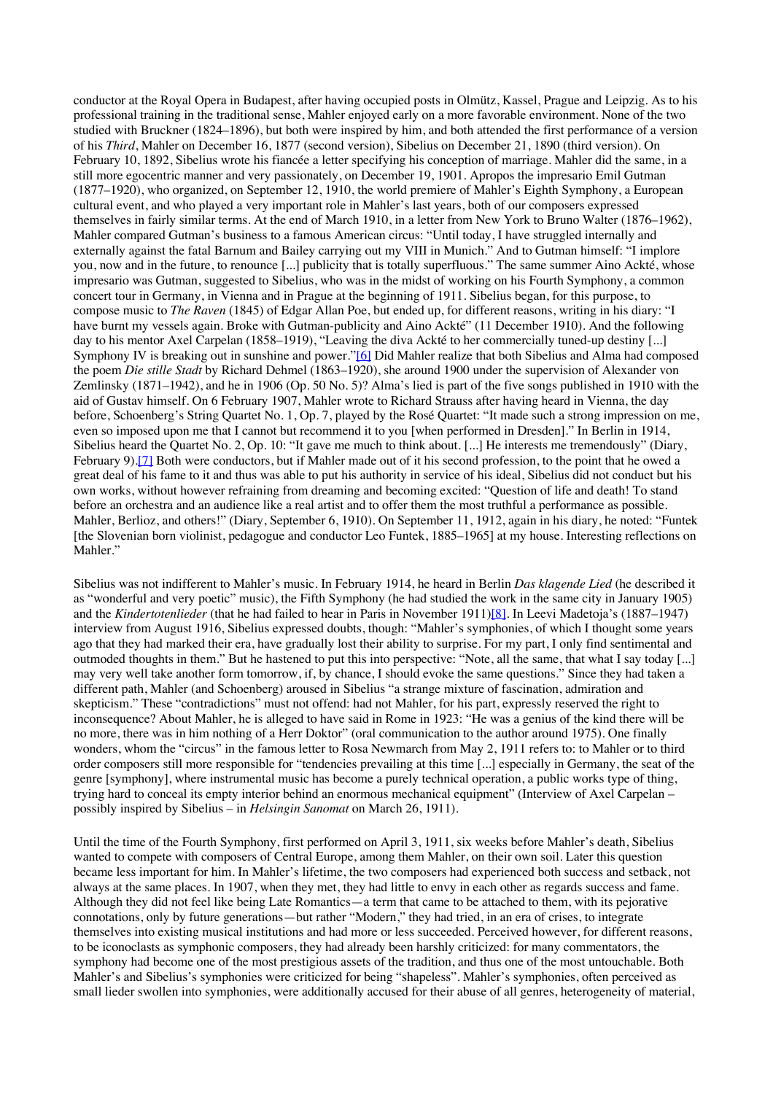conductor at the Royal Opera in Budapest, after having occupied posts in Olmütz, Kassel, Prague and Leipzig. As to his professional training in the traditional sense, Mahler enjoyed early on a more favorable environment. None of the two studied with Bruckner (1824–1896), but both were inspired by him, and both attended the first performance of a version of his *Third*, Mahler on December 16, 1877 (second version), Sibelius on December 21, 1890 (third version). On February 10, 1892, Sibelius wrote his fiancée a letter specifying his conception of marriage. Mahler did the same, in a still more egocentric manner and very passionately, on December 19, 1901. Apropos the impresario Emil Gutman (1877–1920), who organized, on September 12, 1910, the world premiere of Mahler's Eighth Symphony, a European cultural event, and who played a very important role in Mahler's last years, both of our composers expressed themselves in fairly similar terms. At the end of March 1910, in a letter from New York to Bruno Walter (1876–1962), Mahler compared Gutman's business to a famous American circus: "Until today, I have struggled internally and externally against the fatal Barnum and Bailey carrying out my VIII in Munich." And to Gutman himself: "I implore you, now and in the future, to renounce [...] publicity that is totally superfluous." The same summer Aino Ackté, whose impresario was Gutman, suggested to Sibelius, who was in the midst of working on his Fourth Symphony, a common concert tour in Germany, in Vienna and in Prague at the beginning of 1911. Sibelius began, for this purpose, to compose music to *The Raven* (1845) of Edgar Allan Poe, but ended up, for different reasons, writing in his diary: "I have burnt my vessels again. Broke with Gutman-publicity and Aino Ackté" (11 December 1910). And the following day to his mentor Axel Carpelan (1858–1919), "Leaving the diva Ackté to her commercially tuned-up destiny [...] Symphony IV is breaking out in sunshine and power."<sup>[6]</sup> Did Mahler realize that both Sibelius and Alma had composed the poem *Die stille Stadt* by Richard Dehmel (1863–1920), she around 1900 under the supervision of Alexander von Zemlinsky (1871–1942), and he in 1906 (Op. 50 No. 5)? Alma's lied is part of the five songs published in 1910 with the aid of Gustav himself. On 6 February 1907, Mahler wrote to Richard Strauss after having heard in Vienna, the day before, Schoenberg's String Quartet No. 1, Op. 7, played by the Rosé Quartet: "It made such a strong impression on me, even so imposed upon me that I cannot but recommend it to you [when performed in Dresden]." In Berlin in 1914, Sibelius heard the Quartet No. 2, Op. 10: "It gave me much to think about. [...] He interests me tremendously" (Diary, February 9).<sup>[7]</sup> Both were conductors, but if Mahler made out of it his second profession, to the point that he owed a great deal of his fame to it and thus was able to put his authority in service of his ideal, Sibelius did not conduct but his own works, without however refraining from dreaming and becoming excited: "Question of life and death! To stand before an orchestra and an audience like a real artist and to offer them the most truthful a performance as possible. Mahler, Berlioz, and others!" (Diary, September 6, 1910). On September 11, 1912, again in his diary, he noted: "Funtek [the Slovenian born violinist, pedagogue and conductor Leo Funtek, 1885–1965] at my house. Interesting reflections on Mahler."

Sibelius was not indifferent to Mahler's music. In February 1914, he heard in Berlin *Das klagende Lied* (he described it as "wonderful and very poetic" music), the Fifth Symphony (he had studied the work in the same city in January 1905) and the *Kindertotenlieder* (that he had failed to hear in Paris in November 1911)[8]. In Leevi Madetoja's (1887–1947) interview from August 1916, Sibelius expressed doubts, though: "Mahler's symphonies, of which I thought some years ago that they had marked their era, have gradually lost their ability to surprise. For my part, I only find sentimental and outmoded thoughts in them." But he hastened to put this into perspective: "Note, all the same, that what I say today [...] may very well take another form tomorrow, if, by chance, I should evoke the same questions." Since they had taken a different path, Mahler (and Schoenberg) aroused in Sibelius "a strange mixture of fascination, admiration and skepticism." These "contradictions" must not offend: had not Mahler, for his part, expressly reserved the right to inconsequence? About Mahler, he is alleged to have said in Rome in 1923: "He was a genius of the kind there will be no more, there was in him nothing of a Herr Doktor" (oral communication to the author around 1975). One finally wonders, whom the "circus" in the famous letter to Rosa Newmarch from May 2, 1911 refers to: to Mahler or to third order composers still more responsible for "tendencies prevailing at this time [...] especially in Germany, the seat of the genre [symphony], where instrumental music has become a purely technical operation, a public works type of thing, trying hard to conceal its empty interior behind an enormous mechanical equipment" (Interview of Axel Carpelan – possibly inspired by Sibelius – in *Helsingin Sanomat* on March 26, 1911).

Until the time of the Fourth Symphony, first performed on April 3, 1911, six weeks before Mahler's death, Sibelius wanted to compete with composers of Central Europe, among them Mahler, on their own soil. Later this question became less important for him. In Mahler's lifetime, the two composers had experienced both success and setback, not always at the same places. In 1907, when they met, they had little to envy in each other as regards success and fame. Although they did not feel like being Late Romantics—a term that came to be attached to them, with its pejorative connotations, only by future generations—but rather "Modern," they had tried, in an era of crises, to integrate themselves into existing musical institutions and had more or less succeeded. Perceived however, for different reasons, to be iconoclasts as symphonic composers, they had already been harshly criticized: for many commentators, the symphony had become one of the most prestigious assets of the tradition, and thus one of the most untouchable. Both Mahler's and Sibelius's symphonies were criticized for being "shapeless". Mahler's symphonies, often perceived as small lieder swollen into symphonies, were additionally accused for their abuse of all genres, heterogeneity of material,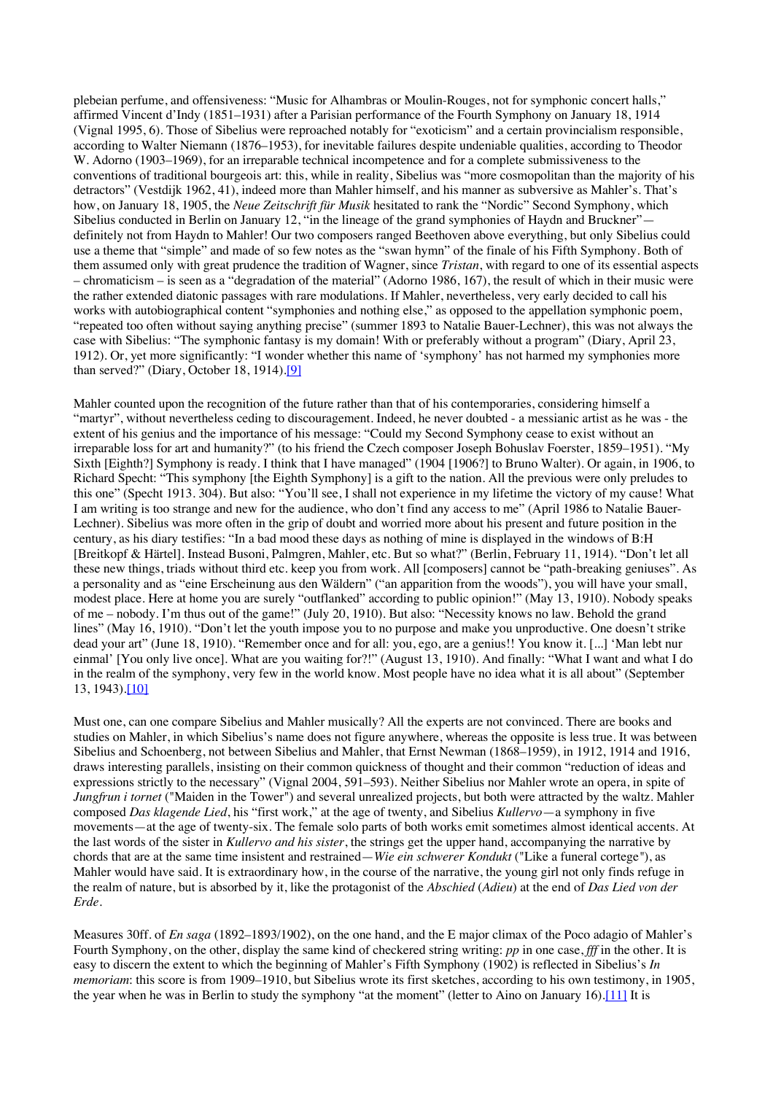plebeian perfume, and offensiveness: "Music for Alhambras or Moulin-Rouges, not for symphonic concert halls," affirmed Vincent d'Indy (1851–1931) after a Parisian performance of the Fourth Symphony on January 18, 1914 (Vignal 1995, 6). Those of Sibelius were reproached notably for "exoticism" and a certain provincialism responsible, according to Walter Niemann (1876–1953), for inevitable failures despite undeniable qualities, according to Theodor W. Adorno (1903–1969), for an irreparable technical incompetence and for a complete submissiveness to the conventions of traditional bourgeois art: this, while in reality, Sibelius was "more cosmopolitan than the majority of his detractors" (Vestdijk 1962, 41), indeed more than Mahler himself, and his manner as subversive as Mahler's. That's how, on January 18, 1905, the *Neue Zeitschrift für Musik* hesitated to rank the "Nordic" Second Symphony, which Sibelius conducted in Berlin on January 12, "in the lineage of the grand symphonies of Haydn and Bruckner" definitely not from Haydn to Mahler! Our two composers ranged Beethoven above everything, but only Sibelius could use a theme that "simple" and made of so few notes as the "swan hymn" of the finale of his Fifth Symphony. Both of them assumed only with great prudence the tradition of Wagner, since *Tristan*, with regard to one of its essential aspects – chromaticism – is seen as a "degradation of the material" (Adorno 1986, 167), the result of which in their music were the rather extended diatonic passages with rare modulations. If Mahler, nevertheless, very early decided to call his works with autobiographical content "symphonies and nothing else," as opposed to the appellation symphonic poem, "repeated too often without saying anything precise" (summer 1893 to Natalie Bauer-Lechner), this was not always the case with Sibelius: "The symphonic fantasy is my domain! With or preferably without a program" (Diary, April 23, 1912). Or, yet more significantly: "I wonder whether this name of 'symphony' has not harmed my symphonies more than served?" (Diary, October 18, 1914).[9]

Mahler counted upon the recognition of the future rather than that of his contemporaries, considering himself a "martyr", without nevertheless ceding to discouragement. Indeed, he never doubted - a messianic artist as he was - the extent of his genius and the importance of his message: "Could my Second Symphony cease to exist without an irreparable loss for art and humanity?" (to his friend the Czech composer Joseph Bohuslav Foerster, 1859–1951). "My Sixth [Eighth?] Symphony is ready. I think that I have managed" (1904 [1906?] to Bruno Walter). Or again, in 1906, to Richard Specht: "This symphony [the Eighth Symphony] is a gift to the nation. All the previous were only preludes to this one" (Specht 1913. 304). But also: "You'll see, I shall not experience in my lifetime the victory of my cause! What I am writing is too strange and new for the audience, who don't find any access to me" (April 1986 to Natalie Bauer-Lechner). Sibelius was more often in the grip of doubt and worried more about his present and future position in the century, as his diary testifies: "In a bad mood these days as nothing of mine is displayed in the windows of B:H [Breitkopf & Härtel]. Instead Busoni, Palmgren, Mahler, etc. But so what?" (Berlin, February 11, 1914). "Don't let all these new things, triads without third etc. keep you from work. All [composers] cannot be "path-breaking geniuses". As a personality and as "eine Erscheinung aus den Wäldern" ("an apparition from the woods"), you will have your small, modest place. Here at home you are surely "outflanked" according to public opinion!" (May 13, 1910). Nobody speaks of me – nobody. I'm thus out of the game!" (July 20, 1910). But also: "Necessity knows no law. Behold the grand lines" (May 16, 1910). "Don't let the youth impose you to no purpose and make you unproductive. One doesn't strike dead your art" (June 18, 1910). "Remember once and for all: you, ego, are a genius!! You know it. [...] 'Man lebt nur einmal' [You only live once]. What are you waiting for?!" (August 13, 1910). And finally: "What I want and what I do in the realm of the symphony, very few in the world know. Most people have no idea what it is all about" (September 13, 1943).[10]

Must one, can one compare Sibelius and Mahler musically? All the experts are not convinced. There are books and studies on Mahler, in which Sibelius's name does not figure anywhere, whereas the opposite is less true. It was between Sibelius and Schoenberg, not between Sibelius and Mahler, that Ernst Newman (1868–1959), in 1912, 1914 and 1916, draws interesting parallels, insisting on their common quickness of thought and their common "reduction of ideas and expressions strictly to the necessary" (Vignal 2004, 591–593). Neither Sibelius nor Mahler wrote an opera, in spite of *Jungfrun i tornet* ("Maiden in the Tower") and several unrealized projects, but both were attracted by the waltz. Mahler composed *Das klagende Lied*, his "first work," at the age of twenty, and Sibelius *Kullervo*—a symphony in five movements—at the age of twenty-six. The female solo parts of both works emit sometimes almost identical accents. At the last words of the sister in *Kullervo and his sister*, the strings get the upper hand, accompanying the narrative by chords that are at the same time insistent and restrained—*Wie ein schwerer Kondukt* ("Like a funeral cortege*"*), as Mahler would have said. It is extraordinary how, in the course of the narrative, the young girl not only finds refuge in the realm of nature, but is absorbed by it, like the protagonist of the *Abschied* (*Adieu*) at the end of *Das Lied von der Erde*.

Measures 30ff. of *En saga* (1892–1893/1902), on the one hand, and the E major climax of the Poco adagio of Mahler's Fourth Symphony, on the other, display the same kind of checkered string writing: *pp* in one case, *fff* in the other. It is easy to discern the extent to which the beginning of Mahler's Fifth Symphony (1902) is reflected in Sibelius's *In memoriam*: this score is from 1909–1910, but Sibelius wrote its first sketches, according to his own testimony, in 1905, the year when he was in Berlin to study the symphony "at the moment" (letter to Aino on January 16).[11] It is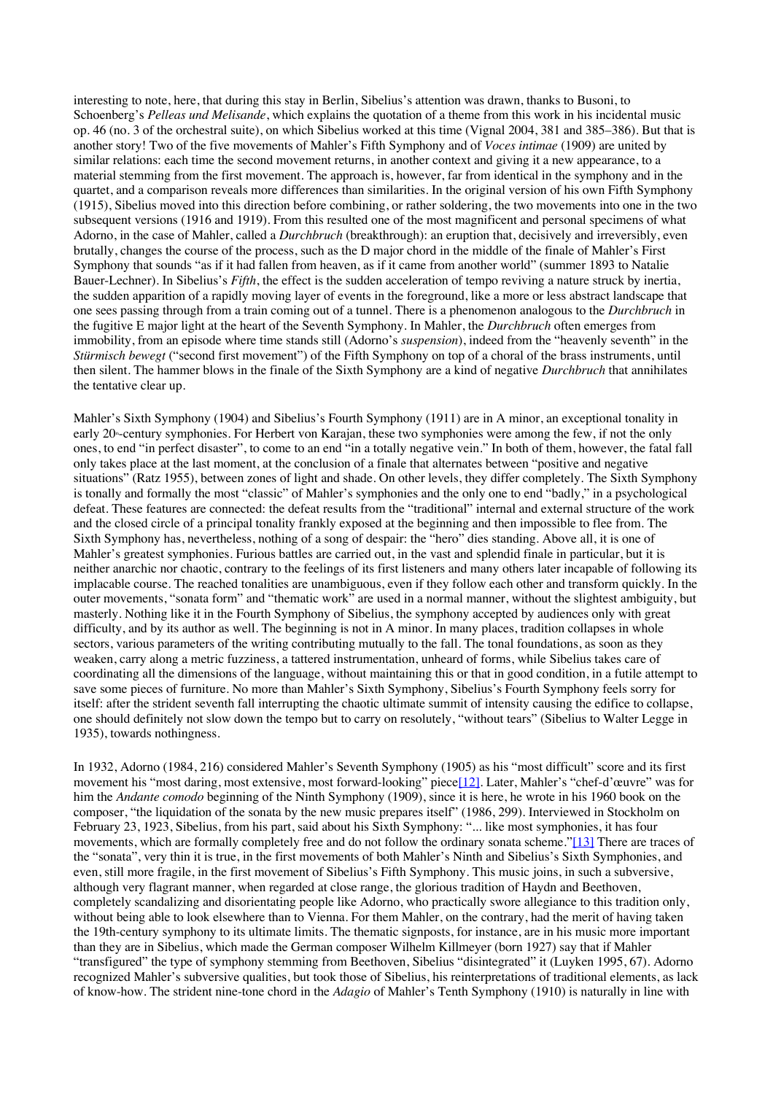interesting to note, here, that during this stay in Berlin, Sibelius's attention was drawn, thanks to Busoni, to Schoenberg's *Pelleas und Melisande*, which explains the quotation of a theme from this work in his incidental music op. 46 (no. 3 of the orchestral suite), on which Sibelius worked at this time (Vignal 2004, 381 and 385–386). But that is another story! Two of the five movements of Mahler's Fifth Symphony and of *Voces intimae* (1909) are united by similar relations: each time the second movement returns, in another context and giving it a new appearance, to a material stemming from the first movement. The approach is, however, far from identical in the symphony and in the quartet, and a comparison reveals more differences than similarities. In the original version of his own Fifth Symphony (1915), Sibelius moved into this direction before combining, or rather soldering, the two movements into one in the two subsequent versions (1916 and 1919). From this resulted one of the most magnificent and personal specimens of what Adorno, in the case of Mahler, called a *Durchbruch* (breakthrough): an eruption that, decisively and irreversibly, even brutally, changes the course of the process, such as the D major chord in the middle of the finale of Mahler's First Symphony that sounds "as if it had fallen from heaven, as if it came from another world" (summer 1893 to Natalie Bauer-Lechner). In Sibelius's *Fifth*, the effect is the sudden acceleration of tempo reviving a nature struck by inertia, the sudden apparition of a rapidly moving layer of events in the foreground, like a more or less abstract landscape that one sees passing through from a train coming out of a tunnel. There is a phenomenon analogous to the *Durchbruch* in the fugitive E major light at the heart of the Seventh Symphony. In Mahler, the *Durchbruch* often emerges from immobility, from an episode where time stands still (Adorno's *suspension*), indeed from the "heavenly seventh" in the *Stürmisch bewegt* ("second first movement") of the Fifth Symphony on top of a choral of the brass instruments, until then silent. The hammer blows in the finale of the Sixth Symphony are a kind of negative *Durchbruch* that annihilates the tentative clear up.

Mahler's Sixth Symphony (1904) and Sibelius's Fourth Symphony (1911) are in A minor, an exceptional tonality in early 20<sup>th</sup>-century symphonies. For Herbert von Karajan, these two symphonies were among the few, if not the only ones, to end "in perfect disaster", to come to an end "in a totally negative vein." In both of them, however, the fatal fall only takes place at the last moment, at the conclusion of a finale that alternates between "positive and negative situations" (Ratz 1955), between zones of light and shade. On other levels, they differ completely. The Sixth Symphony is tonally and formally the most "classic" of Mahler's symphonies and the only one to end "badly," in a psychological defeat. These features are connected: the defeat results from the "traditional" internal and external structure of the work and the closed circle of a principal tonality frankly exposed at the beginning and then impossible to flee from. The Sixth Symphony has, nevertheless, nothing of a song of despair: the "hero" dies standing. Above all, it is one of Mahler's greatest symphonies. Furious battles are carried out, in the vast and splendid finale in particular, but it is neither anarchic nor chaotic, contrary to the feelings of its first listeners and many others later incapable of following its implacable course. The reached tonalities are unambiguous, even if they follow each other and transform quickly. In the outer movements, "sonata form" and "thematic work" are used in a normal manner, without the slightest ambiguity, but masterly. Nothing like it in the Fourth Symphony of Sibelius, the symphony accepted by audiences only with great difficulty, and by its author as well. The beginning is not in A minor. In many places, tradition collapses in whole sectors, various parameters of the writing contributing mutually to the fall. The tonal foundations, as soon as they weaken, carry along a metric fuzziness, a tattered instrumentation, unheard of forms, while Sibelius takes care of coordinating all the dimensions of the language, without maintaining this or that in good condition, in a futile attempt to save some pieces of furniture. No more than Mahler's Sixth Symphony, Sibelius's Fourth Symphony feels sorry for itself: after the strident seventh fall interrupting the chaotic ultimate summit of intensity causing the edifice to collapse, one should definitely not slow down the tempo but to carry on resolutely, "without tears" (Sibelius to Walter Legge in 1935), towards nothingness.

In 1932, Adorno (1984, 216) considered Mahler's Seventh Symphony (1905) as his "most difficult" score and its first movement his "most daring, most extensive, most forward-looking" piece[12]. Later, Mahler's "chef-d'œuvre" was for him the *Andante comodo* beginning of the Ninth Symphony (1909), since it is here, he wrote in his 1960 book on the composer, "the liquidation of the sonata by the new music prepares itself" (1986, 299). Interviewed in Stockholm on February 23, 1923, Sibelius, from his part, said about his Sixth Symphony: "... like most symphonies, it has four movements, which are formally completely free and do not follow the ordinary sonata scheme."[13] There are traces of the "sonata", very thin it is true, in the first movements of both Mahler's Ninth and Sibelius's Sixth Symphonies, and even, still more fragile, in the first movement of Sibelius's Fifth Symphony. This music joins, in such a subversive, although very flagrant manner, when regarded at close range, the glorious tradition of Haydn and Beethoven, completely scandalizing and disorientating people like Adorno, who practically swore allegiance to this tradition only, without being able to look elsewhere than to Vienna. For them Mahler, on the contrary, had the merit of having taken the 19th-century symphony to its ultimate limits. The thematic signposts, for instance, are in his music more important than they are in Sibelius, which made the German composer Wilhelm Killmeyer (born 1927) say that if Mahler "transfigured" the type of symphony stemming from Beethoven, Sibelius "disintegrated" it (Luyken 1995, 67). Adorno recognized Mahler's subversive qualities, but took those of Sibelius, his reinterpretations of traditional elements, as lack of know-how. The strident nine-tone chord in the *Adagio* of Mahler's Tenth Symphony (1910) is naturally in line with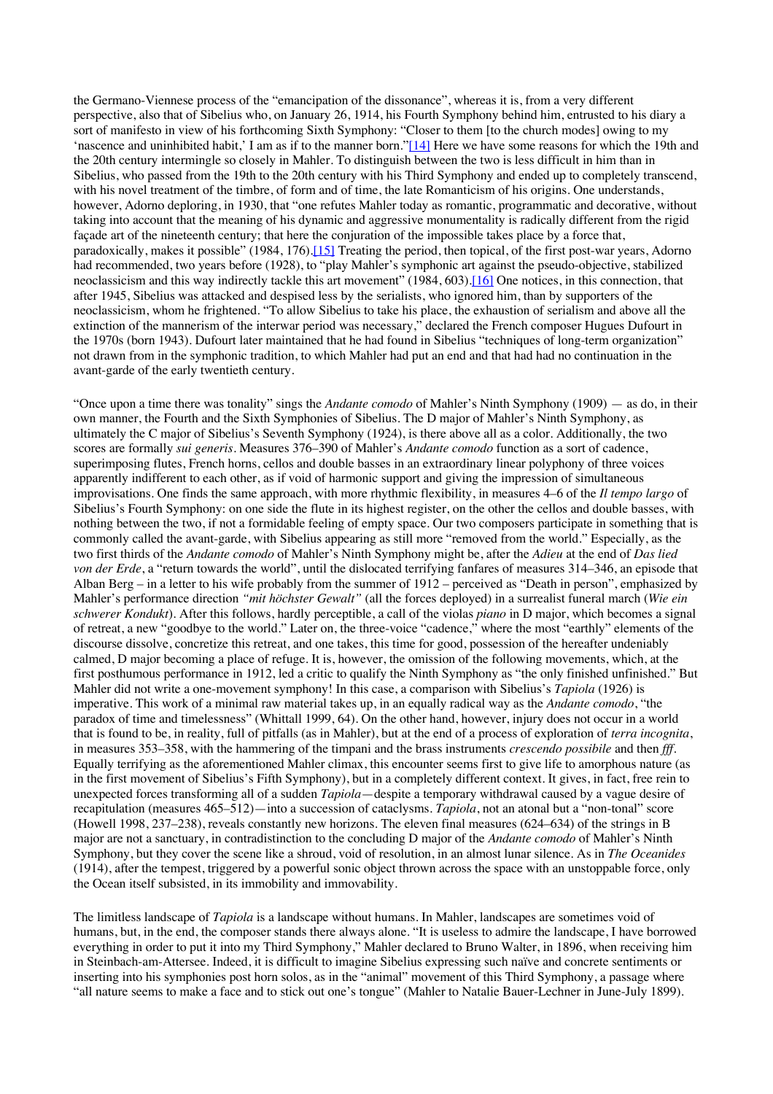the Germano-Viennese process of the "emancipation of the dissonance", whereas it is, from a very different perspective, also that of Sibelius who, on January 26, 1914, his Fourth Symphony behind him, entrusted to his diary a sort of manifesto in view of his forthcoming Sixth Symphony: "Closer to them [to the church modes] owing to my 'nascence and uninhibited habit,' I am as if to the manner born."[14] Here we have some reasons for which the 19th and the 20th century intermingle so closely in Mahler. To distinguish between the two is less difficult in him than in Sibelius, who passed from the 19th to the 20th century with his Third Symphony and ended up to completely transcend, with his novel treatment of the timbre, of form and of time, the late Romanticism of his origins. One understands, however, Adorno deploring, in 1930, that "one refutes Mahler today as romantic, programmatic and decorative, without taking into account that the meaning of his dynamic and aggressive monumentality is radically different from the rigid façade art of the nineteenth century; that here the conjuration of the impossible takes place by a force that, paradoxically, makes it possible" (1984, 176).[15] Treating the period, then topical, of the first post-war years, Adorno had recommended, two years before (1928), to "play Mahler's symphonic art against the pseudo-objective, stabilized neoclassicism and this way indirectly tackle this art movement" (1984, 603).[16] One notices, in this connection, that after 1945, Sibelius was attacked and despised less by the serialists, who ignored him, than by supporters of the neoclassicism, whom he frightened. "To allow Sibelius to take his place, the exhaustion of serialism and above all the extinction of the mannerism of the interwar period was necessary," declared the French composer Hugues Dufourt in the 1970s (born 1943). Dufourt later maintained that he had found in Sibelius "techniques of long-term organization" not drawn from in the symphonic tradition, to which Mahler had put an end and that had had no continuation in the avant-garde of the early twentieth century.

"Once upon a time there was tonality" sings the *Andante comodo* of Mahler's Ninth Symphony (1909) — as do, in their own manner, the Fourth and the Sixth Symphonies of Sibelius. The D major of Mahler's Ninth Symphony, as ultimately the C major of Sibelius's Seventh Symphony (1924), is there above all as a color. Additionally, the two scores are formally *sui generis*. Measures 376–390 of Mahler's *Andante comodo* function as a sort of cadence, superimposing flutes, French horns, cellos and double basses in an extraordinary linear polyphony of three voices apparently indifferent to each other, as if void of harmonic support and giving the impression of simultaneous improvisations. One finds the same approach, with more rhythmic flexibility, in measures 4–6 of the *Il tempo largo* of Sibelius's Fourth Symphony: on one side the flute in its highest register, on the other the cellos and double basses, with nothing between the two, if not a formidable feeling of empty space. Our two composers participate in something that is commonly called the avant-garde, with Sibelius appearing as still more "removed from the world." Especially, as the two first thirds of the *Andante comodo* of Mahler's Ninth Symphony might be, after the *Adieu* at the end of *Das lied von der Erde*, a "return towards the world", until the dislocated terrifying fanfares of measures 314–346, an episode that Alban Berg – in a letter to his wife probably from the summer of 1912 – perceived as "Death in person", emphasized by Mahler's performance direction *"mit höchster Gewalt"* (all the forces deployed) in a surrealist funeral march (*Wie ein schwerer Kondukt*). After this follows, hardly perceptible, a call of the violas *piano* in D major, which becomes a signal of retreat, a new "goodbye to the world." Later on, the three-voice "cadence," where the most "earthly" elements of the discourse dissolve, concretize this retreat, and one takes, this time for good, possession of the hereafter undeniably calmed, D major becoming a place of refuge. It is, however, the omission of the following movements, which, at the first posthumous performance in 1912, led a critic to qualify the Ninth Symphony as "the only finished unfinished." But Mahler did not write a one-movement symphony! In this case, a comparison with Sibelius's *Tapiola* (1926) is imperative. This work of a minimal raw material takes up, in an equally radical way as the *Andante comodo*, "the paradox of time and timelessness" (Whittall 1999, 64). On the other hand, however, injury does not occur in a world that is found to be, in reality, full of pitfalls (as in Mahler), but at the end of a process of exploration of *terra incognita*, in measures 353–358, with the hammering of the timpani and the brass instruments *crescendo possibile* and then *fff*. Equally terrifying as the aforementioned Mahler climax, this encounter seems first to give life to amorphous nature (as in the first movement of Sibelius's Fifth Symphony), but in a completely different context. It gives, in fact, free rein to unexpected forces transforming all of a sudden *Tapiola*—despite a temporary withdrawal caused by a vague desire of recapitulation (measures 465–512)—into a succession of cataclysms. *Tapiola*, not an atonal but a "non-tonal" score (Howell 1998, 237–238), reveals constantly new horizons. The eleven final measures (624–634) of the strings in B major are not a sanctuary, in contradistinction to the concluding D major of the *Andante comodo* of Mahler's Ninth Symphony, but they cover the scene like a shroud, void of resolution, in an almost lunar silence. As in *The Oceanides* (1914), after the tempest, triggered by a powerful sonic object thrown across the space with an unstoppable force, only the Ocean itself subsisted, in its immobility and immovability.

The limitless landscape of *Tapiola* is a landscape without humans. In Mahler, landscapes are sometimes void of humans, but, in the end, the composer stands there always alone. "It is useless to admire the landscape, I have borrowed everything in order to put it into my Third Symphony," Mahler declared to Bruno Walter, in 1896, when receiving him in Steinbach-am-Attersee. Indeed, it is difficult to imagine Sibelius expressing such naïve and concrete sentiments or inserting into his symphonies post horn solos, as in the "animal" movement of this Third Symphony, a passage where "all nature seems to make a face and to stick out one's tongue" (Mahler to Natalie Bauer-Lechner in June-July 1899).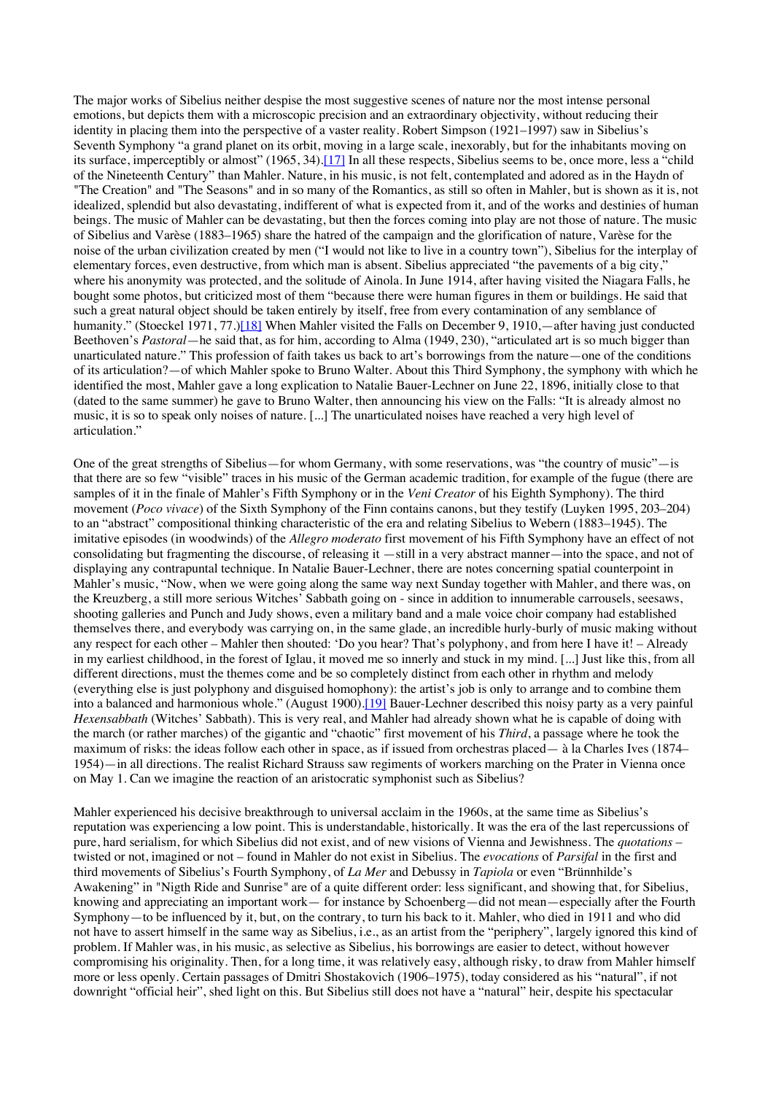The major works of Sibelius neither despise the most suggestive scenes of nature nor the most intense personal emotions, but depicts them with a microscopic precision and an extraordinary objectivity, without reducing their identity in placing them into the perspective of a vaster reality. Robert Simpson (1921–1997) saw in Sibelius's Seventh Symphony "a grand planet on its orbit, moving in a large scale, inexorably, but for the inhabitants moving on its surface, imperceptibly or almost" (1965, 34).<sup>[17]</sup> In all these respects, Sibelius seems to be, once more, less a "child of the Nineteenth Century" than Mahler. Nature, in his music, is not felt, contemplated and adored as in the Haydn of "The Creation" and "The Seasons" and in so many of the Romantics, as still so often in Mahler, but is shown as it is, not idealized, splendid but also devastating, indifferent of what is expected from it, and of the works and destinies of human beings. The music of Mahler can be devastating, but then the forces coming into play are not those of nature. The music of Sibelius and Varèse (1883–1965) share the hatred of the campaign and the glorification of nature, Varèse for the noise of the urban civilization created by men ("I would not like to live in a country town"), Sibelius for the interplay of elementary forces, even destructive, from which man is absent. Sibelius appreciated "the pavements of a big city," where his anonymity was protected, and the solitude of Ainola. In June 1914, after having visited the Niagara Falls, he bought some photos, but criticized most of them "because there were human figures in them or buildings. He said that such a great natural object should be taken entirely by itself, free from every contamination of any semblance of humanity." (Stoeckel 1971, 77.)[18] When Mahler visited the Falls on December 9, 1910,—after having just conducted Beethoven's *Pastoral*—he said that, as for him, according to Alma (1949, 230), "articulated art is so much bigger than unarticulated nature." This profession of faith takes us back to art's borrowings from the nature—one of the conditions of its articulation?—of which Mahler spoke to Bruno Walter. About this Third Symphony, the symphony with which he identified the most, Mahler gave a long explication to Natalie Bauer-Lechner on June 22, 1896, initially close to that (dated to the same summer) he gave to Bruno Walter, then announcing his view on the Falls: "It is already almost no music, it is so to speak only noises of nature. [...] The unarticulated noises have reached a very high level of articulation."

One of the great strengths of Sibelius—for whom Germany, with some reservations, was "the country of music"—is that there are so few "visible" traces in his music of the German academic tradition, for example of the fugue (there are samples of it in the finale of Mahler's Fifth Symphony or in the *Veni Creator* of his Eighth Symphony). The third movement (*Poco vivace*) of the Sixth Symphony of the Finn contains canons, but they testify (Luyken 1995, 203–204) to an "abstract" compositional thinking characteristic of the era and relating Sibelius to Webern (1883–1945). The imitative episodes (in woodwinds) of the *Allegro moderato* first movement of his Fifth Symphony have an effect of not consolidating but fragmenting the discourse, of releasing it —still in a very abstract manner—into the space, and not of displaying any contrapuntal technique. In Natalie Bauer-Lechner, there are notes concerning spatial counterpoint in Mahler's music, "Now, when we were going along the same way next Sunday together with Mahler, and there was, on the Kreuzberg, a still more serious Witches' Sabbath going on - since in addition to innumerable carrousels, seesaws, shooting galleries and Punch and Judy shows, even a military band and a male voice choir company had established themselves there, and everybody was carrying on, in the same glade, an incredible hurly-burly of music making without any respect for each other – Mahler then shouted: 'Do you hear? That's polyphony, and from here I have it! – Already in my earliest childhood, in the forest of Iglau, it moved me so innerly and stuck in my mind. [...] Just like this, from all different directions, must the themes come and be so completely distinct from each other in rhythm and melody (everything else is just polyphony and disguised homophony): the artist's job is only to arrange and to combine them into a balanced and harmonious whole." (August 1900).[19] Bauer-Lechner described this noisy party as a very painful *Hexensabbath* (Witches' Sabbath). This is very real, and Mahler had already shown what he is capable of doing with the march (or rather marches) of the gigantic and "chaotic" first movement of his *Third*, a passage where he took the maximum of risks: the ideas follow each other in space, as if issued from orchestras placed— à la Charles Ives (1874– 1954)—in all directions. The realist Richard Strauss saw regiments of workers marching on the Prater in Vienna once on May 1. Can we imagine the reaction of an aristocratic symphonist such as Sibelius?

Mahler experienced his decisive breakthrough to universal acclaim in the 1960s, at the same time as Sibelius's reputation was experiencing a low point. This is understandable, historically. It was the era of the last repercussions of pure, hard serialism, for which Sibelius did not exist, and of new visions of Vienna and Jewishness. The *quotations* – twisted or not, imagined or not – found in Mahler do not exist in Sibelius. The *evocations* of *Parsifal* in the first and third movements of Sibelius's Fourth Symphony, of *La Mer* and Debussy in *Tapiola* or even "Brünnhilde's Awakening" in "Nigth Ride and Sunrise*"* are of a quite different order: less significant, and showing that, for Sibelius, knowing and appreciating an important work— for instance by Schoenberg—did not mean—especially after the Fourth Symphony—to be influenced by it, but, on the contrary, to turn his back to it. Mahler, who died in 1911 and who did not have to assert himself in the same way as Sibelius, i.e., as an artist from the "periphery", largely ignored this kind of problem. If Mahler was, in his music, as selective as Sibelius, his borrowings are easier to detect, without however compromising his originality. Then, for a long time, it was relatively easy, although risky, to draw from Mahler himself more or less openly. Certain passages of Dmitri Shostakovich (1906–1975), today considered as his "natural", if not downright "official heir", shed light on this. But Sibelius still does not have a "natural" heir, despite his spectacular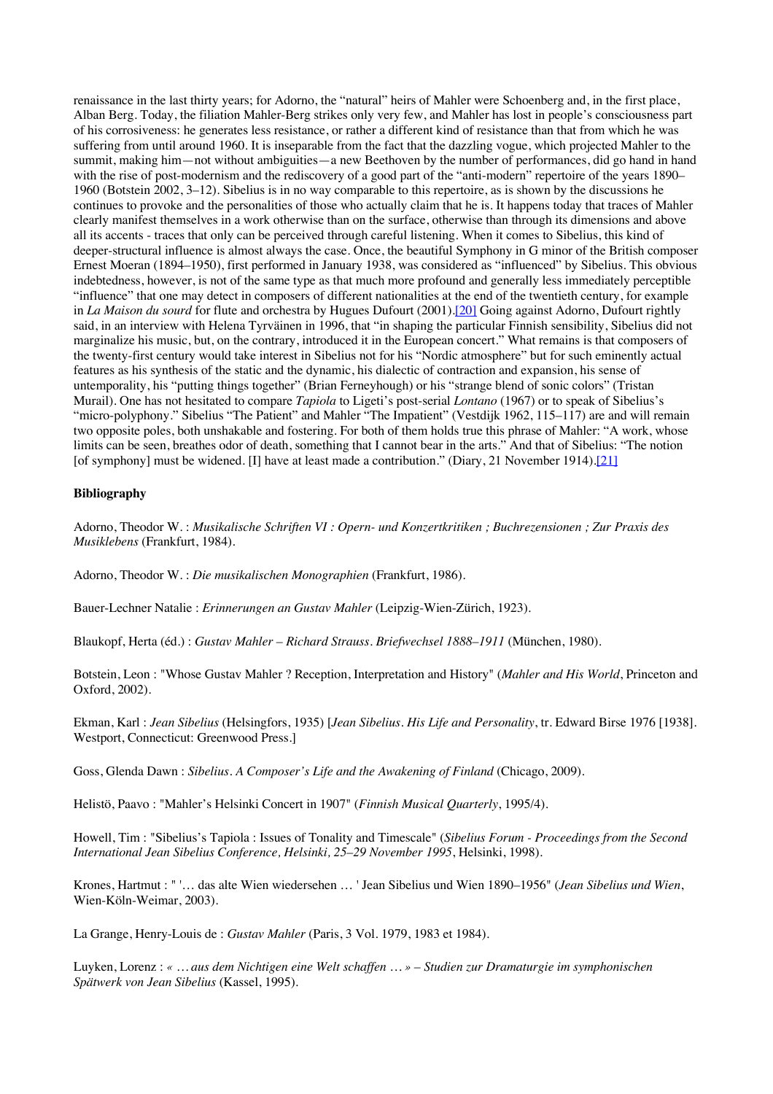renaissance in the last thirty years; for Adorno, the "natural" heirs of Mahler were Schoenberg and, in the first place, Alban Berg. Today, the filiation Mahler-Berg strikes only very few, and Mahler has lost in people's consciousness part of his corrosiveness: he generates less resistance, or rather a different kind of resistance than that from which he was suffering from until around 1960. It is inseparable from the fact that the dazzling vogue, which projected Mahler to the summit, making him—not without ambiguities—a new Beethoven by the number of performances, did go hand in hand with the rise of post-modernism and the rediscovery of a good part of the "anti-modern" repertoire of the years 1890– 1960 (Botstein 2002, 3–12). Sibelius is in no way comparable to this repertoire, as is shown by the discussions he continues to provoke and the personalities of those who actually claim that he is. It happens today that traces of Mahler clearly manifest themselves in a work otherwise than on the surface, otherwise than through its dimensions and above all its accents - traces that only can be perceived through careful listening. When it comes to Sibelius, this kind of deeper-structural influence is almost always the case. Once, the beautiful Symphony in G minor of the British composer Ernest Moeran (1894–1950), first performed in January 1938, was considered as "influenced" by Sibelius. This obvious indebtedness, however, is not of the same type as that much more profound and generally less immediately perceptible "influence" that one may detect in composers of different nationalities at the end of the twentieth century, for example in *La Maison du sourd* for flute and orchestra by Hugues Dufourt (2001).[20] Going against Adorno, Dufourt rightly said, in an interview with Helena Tyrväinen in 1996, that "in shaping the particular Finnish sensibility, Sibelius did not marginalize his music, but, on the contrary, introduced it in the European concert." What remains is that composers of the twenty-first century would take interest in Sibelius not for his "Nordic atmosphere" but for such eminently actual features as his synthesis of the static and the dynamic, his dialectic of contraction and expansion, his sense of untemporality, his "putting things together" (Brian Ferneyhough) or his "strange blend of sonic colors" (Tristan Murail). One has not hesitated to compare *Tapiola* to Ligeti's post-serial *Lontano* (1967) or to speak of Sibelius's "micro-polyphony." Sibelius "The Patient" and Mahler "The Impatient" (Vestdijk 1962, 115-117) are and will remain two opposite poles, both unshakable and fostering. For both of them holds true this phrase of Mahler: "A work, whose limits can be seen, breathes odor of death, something that I cannot bear in the arts." And that of Sibelius: "The notion [of symphony] must be widened. [I] have at least made a contribution." (Diary, 21 November 1914).[21]

## **Bibliography**

Adorno, Theodor W. : *Musikalische Schriften VI : Opern- und Konzertkritiken ; Buchrezensionen ; Zur Praxis des Musiklebens* (Frankfurt, 1984).

Adorno, Theodor W. : *Die musikalischen Monographien* (Frankfurt, 1986).

Bauer-Lechner Natalie : *Erinnerungen an Gustav Mahler* (Leipzig-Wien-Zürich, 1923).

Blaukopf, Herta (éd.) : *Gustav Mahler – Richard Strauss. Briefwechsel 1888–1911* (München, 1980).

Botstein, Leon : "Whose Gustav Mahler ? Reception, Interpretation and History" (*Mahler and His World*, Princeton and Oxford, 2002).

Ekman, Karl : *Jean Sibelius* (Helsingfors, 1935) [*Jean Sibelius. His Life and Personality*, tr. Edward Birse 1976 [1938]. Westport, Connecticut: Greenwood Press.]

Goss, Glenda Dawn : *Sibelius. A Composer's Life and the Awakening of Finland* (Chicago, 2009).

Helistö, Paavo : "Mahler's Helsinki Concert in 1907" (*Finnish Musical Quarterly*, 1995/4).

Howell, Tim : "Sibelius's Tapiola : Issues of Tonality and Timescale" (*Sibelius Forum - Proceedings from the Second International Jean Sibelius Conference, Helsinki, 25–29 November 1995*, Helsinki, 1998).

Krones, Hartmut : " '… das alte Wien wiedersehen … ' Jean Sibelius und Wien 1890–1956" (*Jean Sibelius und Wien*, Wien-Köln-Weimar, 2003).

La Grange, Henry-Louis de : *Gustav Mahler* (Paris, 3 Vol. 1979, 1983 et 1984).

Luyken, Lorenz : *« … aus dem Nichtigen eine Welt schaffen … » – Studien zur Dramaturgie im symphonischen Spätwerk von Jean Sibelius* (Kassel, 1995).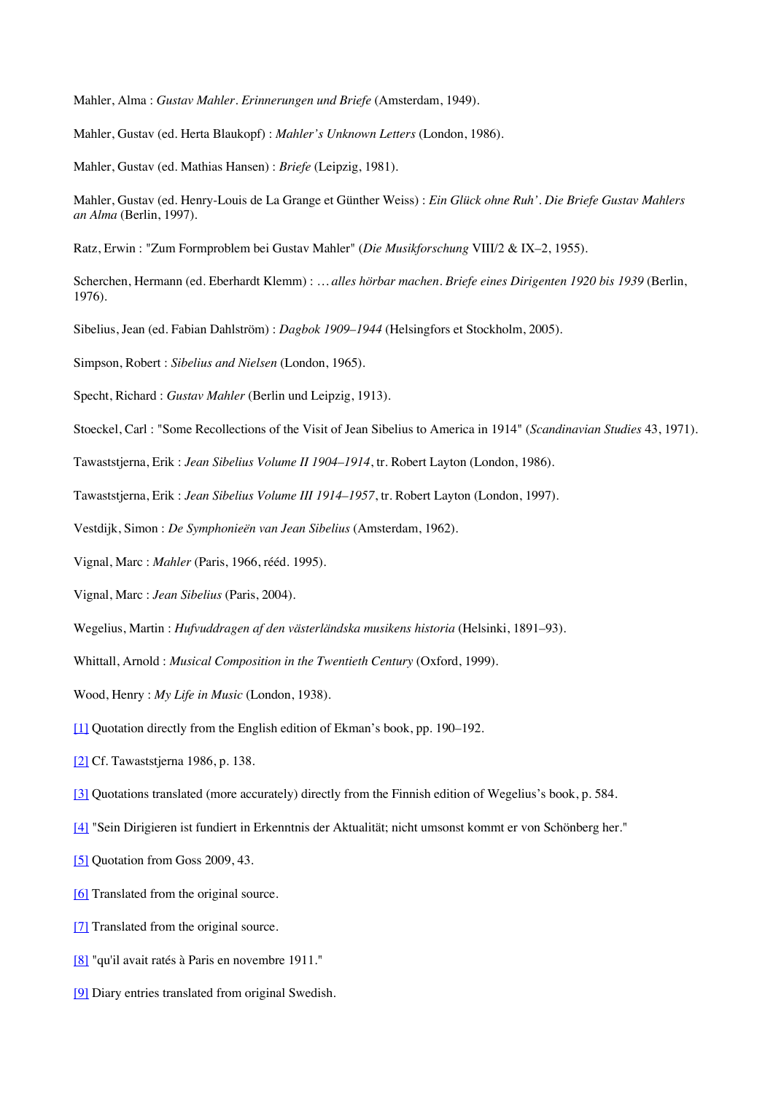Mahler, Alma : *Gustav Mahler. Erinnerungen und Briefe* (Amsterdam, 1949).

Mahler, Gustav (ed. Herta Blaukopf) : *Mahler's Unknown Letters* (London, 1986).

Mahler, Gustav (ed. Mathias Hansen) : *Briefe* (Leipzig, 1981).

- Mahler, Gustav (ed. Henry-Louis de La Grange et Günther Weiss) : *Ein Glück ohne Ruh'. Die Briefe Gustav Mahlers an Alma* (Berlin, 1997).
- Ratz, Erwin : "Zum Formproblem bei Gustav Mahler" (*Die Musikforschung* VIII/2 & IX–2, 1955).
- Scherchen, Hermann (ed. Eberhardt Klemm) : *… alles hörbar machen. Briefe eines Dirigenten 1920 bis 1939* (Berlin, 1976).
- Sibelius, Jean (ed. Fabian Dahlström) : *Dagbok 1909–1944* (Helsingfors et Stockholm, 2005).

Simpson, Robert : *Sibelius and Nielsen* (London, 1965).

- Specht, Richard : *Gustav Mahler* (Berlin und Leipzig, 1913).
- Stoeckel, Carl : "Some Recollections of the Visit of Jean Sibelius to America in 1914" (*Scandinavian Studies* 43, 1971).
- Tawaststjerna, Erik : *Jean Sibelius Volume II 1904–1914*, tr. Robert Layton (London, 1986).
- Tawaststjerna, Erik : *Jean Sibelius Volume III 1914–1957*, tr. Robert Layton (London, 1997).
- Vestdijk, Simon : *De Symphonieën van Jean Sibelius* (Amsterdam, 1962).
- Vignal, Marc : *Mahler* (Paris, 1966, rééd. 1995).
- Vignal, Marc : *Jean Sibelius* (Paris, 2004).
- Wegelius, Martin : *Hufvuddragen af den västerländska musikens historia* (Helsinki, 1891–93).
- Whittall, Arnold : *Musical Composition in the Twentieth Century* (Oxford, 1999).
- Wood, Henry : *My Life in Music* (London, 1938).
- [1] Quotation directly from the English edition of Ekman's book, pp. 190–192.
- [2] Cf. Tawaststjerna 1986, p. 138.
- [3] Quotations translated (more accurately) directly from the Finnish edition of Wegelius's book, p. 584.
- [4] "Sein Dirigieren ist fundiert in Erkenntnis der Aktualität; nicht umsonst kommt er von Schönberg her."
- [5] Quotation from Goss 2009, 43.
- [6] Translated from the original source.
- [7] Translated from the original source.
- [8] "qu'il avait ratés à Paris en novembre 1911."
- [9] Diary entries translated from original Swedish.